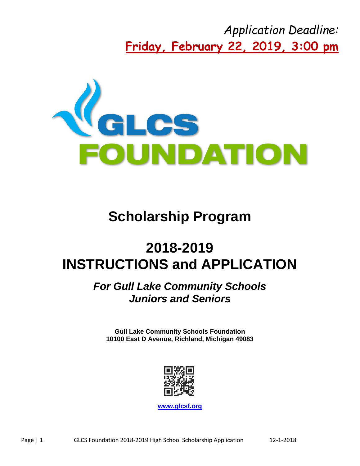*Application Deadline:* **Friday, February 22, 2019, 3:00 pm**



# **Scholarship Program**

# **2018-2019 INSTRUCTIONS and APPLICATION**

## *For Gull Lake Community Schools Juniors and Seniors*

**Gull Lake Community Schools Foundation 10100 East D Avenue, Richland, Michigan 49083**



**[www.glcsf.org](http://www.glcsf.org/)**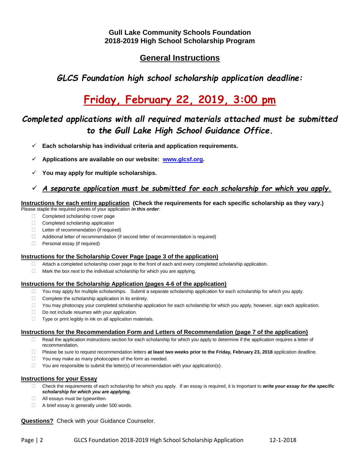## **General Instructions**

*GLCS Foundation high school scholarship application deadline:*

## **Friday, February 22, 2019, 3:00 pm**

## *Completed applications with all required materials attached must be submitted to the Gull Lake High School Guidance Office.*

- **Each scholarship has individual criteria and application requirements.**
- **Applications are available on our website: [www.glcsf.org.](http://www.glcsf.org/)**
- **You may apply for multiple scholarships.**

#### *A separate application must be submitted for each scholarship for which you apply.*

#### **Instructions for each entire application (Check the requirements for each specific scholarship as they vary.)**

Please staple the required pieces of your application *in this order*:

- Completed scholarship cover page
- Completed scholarship application
- □ Letter of recommendation (if required)
- Additional letter of recommendation (if second letter of recommendation is required)
- **Personal essay (if required)**

#### **Instructions for the Scholarship Cover Page (page 3 of the application)**

- $\Box$  Attach a completed scholarship cover page to the front of each and every completed scholarship application.
- $\Box$  Mark the box next to the individual scholarship for which you are applying.

#### **Instructions for the Scholarship Application (pages 4-6 of the application)**

- $\Box$  You may apply for multiple scholarships. Submit a separate scholarship application for each scholarship for which you apply.
- $\Box$  Complete the scholarship application in its entirety.
- $\Box$  You may photocopy your completed scholarship application for each scholarship for which you apply, however, sign each application.
- Do not include resumes with your application.
- $\Box$  Type or print legibly in ink on all application materials.

#### **Instructions for the Recommendation Form and Letters of Recommendation (page 7 of the application)**

- □ Read the application instructions section for each scholarship for which you apply to determine if the application requires a letter of recommendation.
- Please be sure to request recommendation letters **at least two weeks prior to the Friday, February 23, 2018** application deadline.
- $\Box$  You may make as many photocopies of the form as needed.
- $\Box$  You are responsible to submit the letter(s) of recommendation with your application(s).

#### **Instructions for your Essay**

- Check the requirements of each scholarship for which you apply. If an essay is required, it is important to *write your essay for the specific scholarship for which you are applying.*
- **All essays must be typewritten.**
- A brief essay is generally under 500 words.

#### **Questions?** Check with your Guidance Counselor.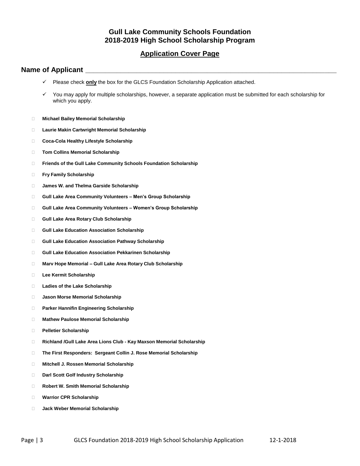### **Application Cover Page**

#### **Name of Applicant \_\_\_\_\_\_\_\_\_\_\_\_\_\_\_\_\_\_\_\_\_\_\_\_\_\_\_\_\_\_\_\_\_\_\_\_\_\_\_\_\_\_\_\_\_\_\_\_\_\_\_\_\_\_\_\_\_\_\_\_\_\_\_\_**

- Please check **only** the box for the GLCS Foundation Scholarship Application attached.
- $\checkmark$  You may apply for multiple scholarships, however, a separate application must be submitted for each scholarship for which you apply.
- **Michael Bailey Memorial Scholarship**
- **Laurie Makin Cartwright Memorial Scholarship**
- **Coca-Cola Healthy Lifestyle Scholarship**
- **Tom Collins Memorial Scholarship**
- **Friends of the Gull Lake Community Schools Foundation Scholarship**
- **Fry Family Scholarship**
- **James W. and Thelma Garside Scholarship**
- **Gull Lake Area Community Volunteers – Men's Group Scholarship**
- **Gull Lake Area Community Volunteers – Women's Group Scholarship**
- **Gull Lake Area Rotary Club Scholarship**
- **Gull Lake Education Association Scholarship**
- **Gull Lake Education Association Pathway Scholarship**
- **Gull Lake Education Association Pekkarinen Scholarship**
- **Marv Hope Memorial – Gull Lake Area Rotary Club Scholarship**
- **Lee Kermit Scholarship**
- **Ladies of the Lake Scholarship**
- **Jason Morse Memorial Scholarship**
- **Parker Hannifin Engineering Scholarship**
- **Mathew Paulose Memorial Scholarship**
- **Pelletier Scholarship**
- **Richland /Gull Lake Area Lions Club - Kay Maxson Memorial Scholarship**
- **The First Responders: Sergeant Collin J. Rose Memorial Scholarship**
- **Mitchell J. Rossen Memorial Scholarship**
- **Darl Scott Golf Industry Scholarship**
- **Robert W. Smith Memorial Scholarship**
- **Warrior CPR Scholarship**
- **Jack Weber Memorial Scholarship**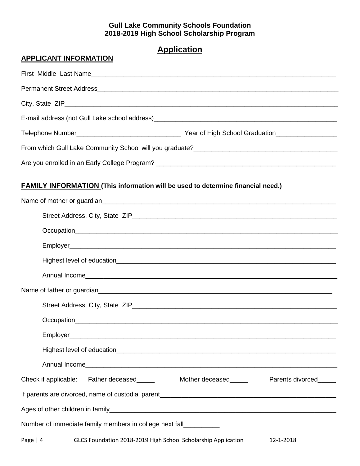## **Application**

| <b>APPLICANT INFORMATION</b>                                                           |
|----------------------------------------------------------------------------------------|
|                                                                                        |
|                                                                                        |
|                                                                                        |
|                                                                                        |
|                                                                                        |
|                                                                                        |
|                                                                                        |
| <b>FAMILY INFORMATION (This information will be used to determine financial need.)</b> |
|                                                                                        |
|                                                                                        |
|                                                                                        |
|                                                                                        |
|                                                                                        |
|                                                                                        |
|                                                                                        |
|                                                                                        |
|                                                                                        |
|                                                                                        |
|                                                                                        |
|                                                                                        |
| Check if applicable: Father deceased______ Mother deceased_____ Parents divorced_____  |
|                                                                                        |
|                                                                                        |
| Number of immediate family members in college next fall__________                      |

Page | 4 GLCS Foundation 2018-2019 High School Scholarship Application 12-1-2018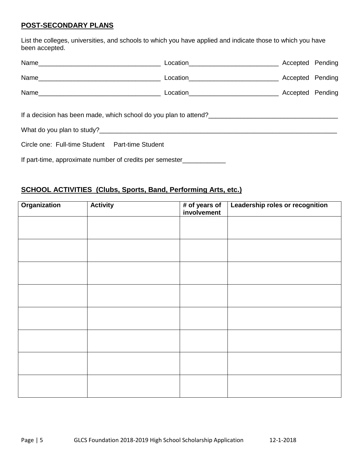### **POST-SECONDARY PLANS**

List the colleges, universities, and schools to which you have applied and indicate those to which you have been accepted.

|                                                                  | Location__________________________________ | Accepted Pending |  |
|------------------------------------------------------------------|--------------------------------------------|------------------|--|
|                                                                  |                                            | Accepted Pending |  |
|                                                                  |                                            |                  |  |
| If a decision has been made, which school do you plan to attend? |                                            |                  |  |
|                                                                  |                                            |                  |  |
| Circle one: Full-time Student  Part-time Student                 |                                            |                  |  |
| If part-time, approximate number of credits per semester         |                                            |                  |  |

## **SCHOOL ACTIVITIES (Clubs, Sports, Band, Performing Arts, etc.)**

| <b>Organization</b> | <b>Activity</b> | # of years of<br>involvement | Leadership roles or recognition |
|---------------------|-----------------|------------------------------|---------------------------------|
|                     |                 |                              |                                 |
|                     |                 |                              |                                 |
|                     |                 |                              |                                 |
|                     |                 |                              |                                 |
|                     |                 |                              |                                 |
|                     |                 |                              |                                 |
|                     |                 |                              |                                 |
|                     |                 |                              |                                 |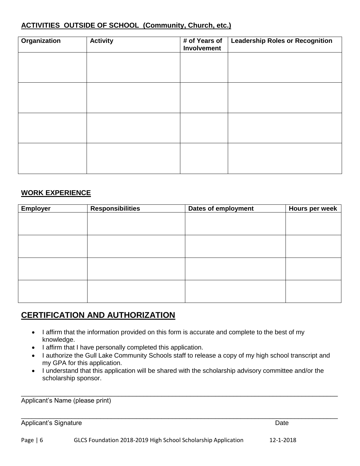## **ACTIVITIES OUTSIDE OF SCHOOL (Community, Church, etc.)**

| <b>Organization</b> | <b>Activity</b> | # of Years of<br>Involvement | <b>Leadership Roles or Recognition</b> |
|---------------------|-----------------|------------------------------|----------------------------------------|
|                     |                 |                              |                                        |
|                     |                 |                              |                                        |
|                     |                 |                              |                                        |
|                     |                 |                              |                                        |
|                     |                 |                              |                                        |
|                     |                 |                              |                                        |
|                     |                 |                              |                                        |
|                     |                 |                              |                                        |

#### **WORK EXPERIENCE**

| <b>Employer</b> | <b>Responsibilities</b> | Dates of employment | Hours per week |
|-----------------|-------------------------|---------------------|----------------|
|                 |                         |                     |                |
|                 |                         |                     |                |
|                 |                         |                     |                |
|                 |                         |                     |                |
|                 |                         |                     |                |
|                 |                         |                     |                |
|                 |                         |                     |                |
|                 |                         |                     |                |
|                 |                         |                     |                |
|                 |                         |                     |                |
|                 |                         |                     |                |
|                 |                         |                     |                |

## **CERTIFICATION AND AUTHORIZATION**

- I affirm that the information provided on this form is accurate and complete to the best of my knowledge.
- I affirm that I have personally completed this application.
- I authorize the Gull Lake Community Schools staff to release a copy of my high school transcript and my GPA for this application.
- I understand that this application will be shared with the scholarship advisory committee and/or the scholarship sponsor.

\_\_\_\_\_\_\_\_\_\_\_\_\_\_\_\_\_\_\_\_\_\_\_\_\_\_\_\_\_\_\_\_\_\_\_\_\_\_\_\_\_\_\_\_\_\_\_\_\_\_\_\_\_\_\_\_\_\_\_\_\_\_\_\_\_\_\_\_\_\_\_\_\_\_\_\_\_\_\_\_\_\_\_\_\_\_\_\_

\_\_\_\_\_\_\_\_\_\_\_\_\_\_\_\_\_\_\_\_\_\_\_\_\_\_\_\_\_\_\_\_\_\_\_\_\_\_\_\_\_\_\_\_\_\_\_\_\_\_\_\_\_\_\_\_\_\_\_\_\_\_\_\_\_\_\_\_\_\_\_\_\_\_\_\_\_\_\_\_\_\_\_\_\_\_\_\_

Applicant's Name (please print)

Applicant's Signature Date Date Controller and the Date Date Date Date Date